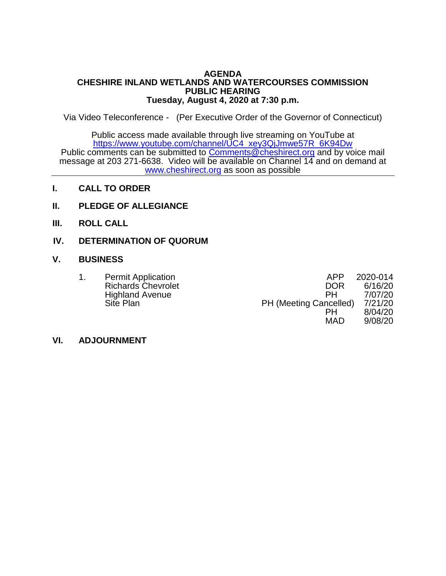#### **AGENDA CHESHIRE INLAND WETLANDS AND WATERCOURSES COMMISSION PUBLIC HEARING Tuesday, August 4, 2020 at 7:30 p.m.**

Via Video Teleconference - (Per Executive Order of the Governor of Connecticut)

Public access made available through live streaming on YouTube at [https://www.youtube.com/channel/UC4\\_xey3QjJmwe57R\\_6K94Dw](https://www.youtube.com/channel/UC4_xey3QjJmwe57R_6K94Dw) Public comments can be submitted to [Comments@cheshirect.org](mailto:Comments@cheshirect.org) and by voice mail message at 203 271-6638. Video will be available on Channel 14 and on demand at [www.cheshirect.org](http://www.cheshirect.org/) as soon as possible

- **I. CALL TO ORDER**
- **II. PLEDGE OF ALLEGIANCE**
- **III. ROLL CALL**
- **IV. DETERMINATION OF QUORUM**

#### **V. BUSINESS**

| <b>Permit Application</b> | APP                           | 2020-014 |
|---------------------------|-------------------------------|----------|
| <b>Richards Chevrolet</b> | <b>DOR</b>                    | 6/16/20  |
| <b>Highland Avenue</b>    | PН                            | 7/07/20  |
| Site Plan                 | <b>PH (Meeting Cancelled)</b> | 7/21/20  |
|                           | PН                            | 8/04/20  |
|                           | <b>MAD</b>                    | 9/08/20  |

#### **VI. ADJOURNMENT**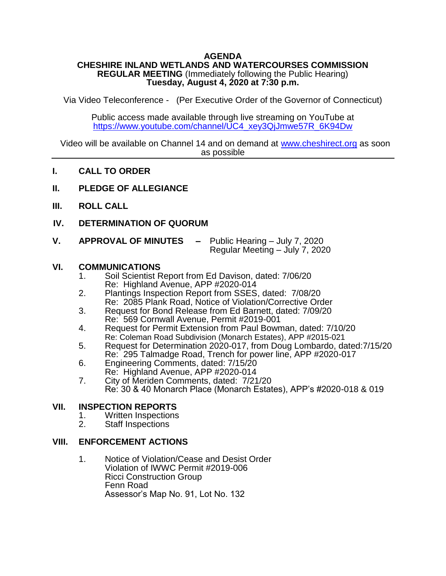### **AGENDA**

#### **CHESHIRE INLAND WETLANDS AND WATERCOURSES COMMISSION REGULAR MEETING** (Immediately following the Public Hearing) **Tuesday, August 4, 2020 at 7:30 p.m.**

Via Video Teleconference - (Per Executive Order of the Governor of Connecticut)

Public access made available through live streaming on YouTube at [https://www.youtube.com/channel/UC4\\_xey3QjJmwe57R\\_6K94Dw](https://www.youtube.com/channel/UC4_xey3QjJmwe57R_6K94Dw)

Video will be available on Channel 14 and on demand at [www.cheshirect.org](http://www.cheshirect.org/) as soon as possible

- **I. CALL TO ORDER**
- **II. PLEDGE OF ALLEGIANCE**
- **III. ROLL CALL**
- **IV. DETERMINATION OF QUORUM**
- **V. APPROVAL OF MINUTES –** Public Hearing July 7, 2020 Regular Meeting – July 7, 2020

## **VI. COMMUNICATIONS**

- Soil Scientist Report from Ed Davison, dated: 7/06/20 Re: Highland Avenue, APP #2020-014
- 2. Plantings Inspection Report from SSES, dated: 7/08/20 Re: 2085 Plank Road, Notice of Violation/Corrective Order
- 3. Request for Bond Release from Ed Barnett, dated: 7/09/20 Re: 569 Cornwall Avenue, Permit #2019-001
- 4. Request for Permit Extension from Paul Bowman, dated: 7/10/20 Re: Coleman Road Subdivision (Monarch Estates), APP #2015-021
- 5. Request for Determination 2020-017, from Doug Lombardo, dated: 7/15/20 Re: 295 Talmadge Road, Trench for power line, APP #2020-017
- 6. Engineering Comments, dated: 7/15/20 Re: Highland Avenue, APP #2020-014
- 7. City of Meriden Comments, dated: 7/21/20 Re: 30 & 40 Monarch Place (Monarch Estates), APP's #2020-018 & 019

# **VII. INSPECTION REPORTS**<br>1. Written Inspections

- 1. Written Inspections<br>2. Staff Inspections
- Staff Inspections

#### **VIII. ENFORCEMENT ACTIONS**

1. Notice of Violation/Cease and Desist Order Violation of IWWC Permit #2019-006 Ricci Construction Group Fenn Road Assessor's Map No. 91, Lot No. 132